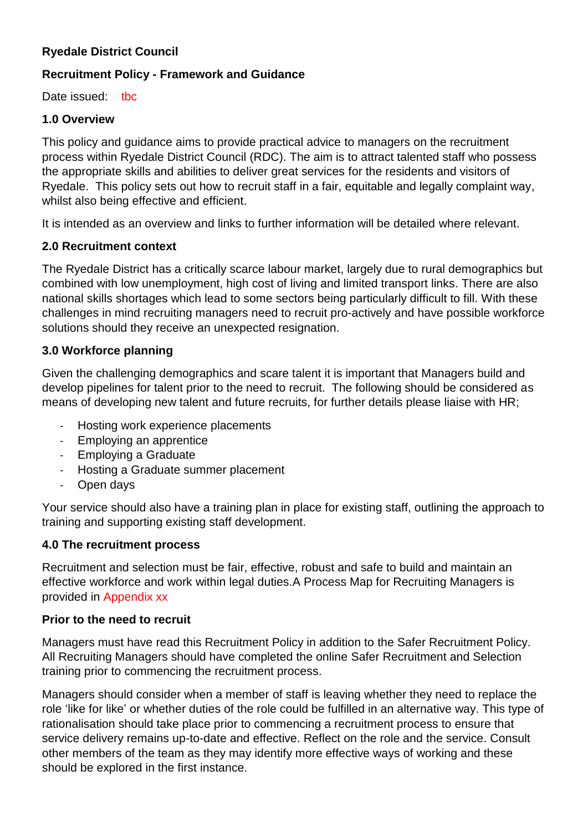## **Ryedale District Council**

## **Recruitment Policy - Framework and Guidance**

Date issued: tbc

#### **1.0 Overview**

This policy and guidance aims to provide practical advice to managers on the recruitment process within Ryedale District Council (RDC). The aim is to attract talented staff who possess the appropriate skills and abilities to deliver great services for the residents and visitors of Ryedale. This policy sets out how to recruit staff in a fair, equitable and legally complaint way, whilst also being effective and efficient.

It is intended as an overview and links to further information will be detailed where relevant.

#### **2.0 Recruitment context**

The Ryedale District has a critically scarce labour market, largely due to rural demographics but combined with low unemployment, high cost of living and limited transport links. There are also national skills shortages which lead to some sectors being particularly difficult to fill. With these challenges in mind recruiting managers need to recruit pro-actively and have possible workforce solutions should they receive an unexpected resignation.

#### **3.0 Workforce planning**

Given the challenging demographics and scare talent it is important that Managers build and develop pipelines for talent prior to the need to recruit. The following should be considered as means of developing new talent and future recruits, for further details please liaise with HR;

- Hosting work experience placements
- Employing an apprentice
- Employing a Graduate
- Hosting a Graduate summer placement
- Open days

Your service should also have a training plan in place for existing staff, outlining the approach to training and supporting existing staff development.

#### **4.0 The recruitment process**

Recruitment and selection must be fair, effective, robust and safe to build and maintain an effective workforce and work within legal duties.A Process Map for Recruiting Managers is provided in Appendix xx

#### **Prior to the need to recruit**

Managers must have read this Recruitment Policy in addition to the Safer Recruitment Policy. All Recruiting Managers should have completed the online Safer Recruitment and Selection training prior to commencing the recruitment process.

Managers should consider when a member of staff is leaving whether they need to replace the role 'like for like' or whether duties of the role could be fulfilled in an alternative way. This type of rationalisation should take place prior to commencing a recruitment process to ensure that service delivery remains up-to-date and effective. Reflect on the role and the service. Consult other members of the team as they may identify more effective ways of working and these should be explored in the first instance.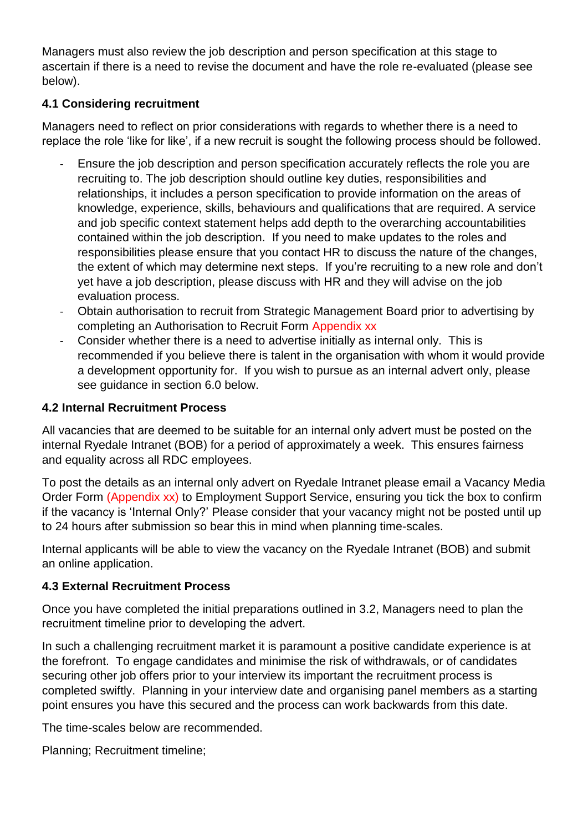Managers must also review the job description and person specification at this stage to ascertain if there is a need to revise the document and have the role re-evaluated (please see below).

# **4.1 Considering recruitment**

Managers need to reflect on prior considerations with regards to whether there is a need to replace the role 'like for like', if a new recruit is sought the following process should be followed.

- Ensure the job description and person specification accurately reflects the role you are recruiting to. The job description should outline key duties, responsibilities and relationships, it includes a person specification to provide information on the areas of knowledge, experience, skills, behaviours and qualifications that are required. A service and job specific context statement helps add depth to the overarching accountabilities contained within the job description. If you need to make updates to the roles and responsibilities please ensure that you contact HR to discuss the nature of the changes, the extent of which may determine next steps. If you're recruiting to a new role and don't yet have a job description, please discuss with HR and they will advise on the job evaluation process.
- Obtain authorisation to recruit from Strategic Management Board prior to advertising by completing an Authorisation to Recruit Form Appendix xx
- Consider whether there is a need to advertise initially as internal only. This is recommended if you believe there is talent in the organisation with whom it would provide a development opportunity for. If you wish to pursue as an internal advert only, please see guidance in section 6.0 below.

# **4.2 Internal Recruitment Process**

All vacancies that are deemed to be suitable for an internal only advert must be posted on the internal Ryedale Intranet (BOB) for a period of approximately a week. This ensures fairness and equality across all RDC employees.

To post the details as an internal only advert on Ryedale Intranet please email a Vacancy Media Order Form (Appendix xx) to Employment Support Service, ensuring you tick the box to confirm if the vacancy is 'Internal Only?' Please consider that your vacancy might not be posted until up to 24 hours after submission so bear this in mind when planning time-scales.

Internal applicants will be able to view the vacancy on the Ryedale Intranet (BOB) and submit an online application.

## **4.3 External Recruitment Process**

Once you have completed the initial preparations outlined in 3.2, Managers need to plan the recruitment timeline prior to developing the advert.

In such a challenging recruitment market it is paramount a positive candidate experience is at the forefront. To engage candidates and minimise the risk of withdrawals, or of candidates securing other job offers prior to your interview its important the recruitment process is completed swiftly. Planning in your interview date and organising panel members as a starting point ensures you have this secured and the process can work backwards from this date.

The time-scales below are recommended.

Planning; Recruitment timeline;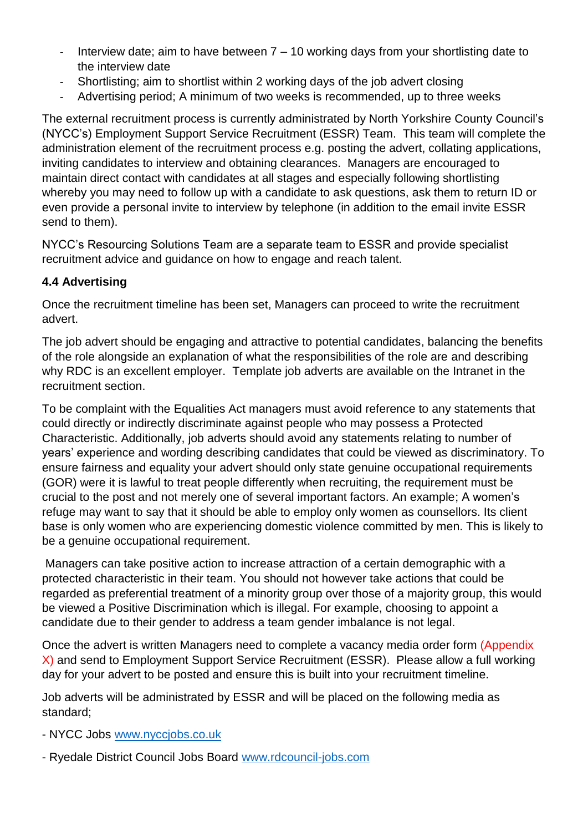- Interview date; aim to have between 7 10 working days from your shortlisting date to the interview date
- Shortlisting; aim to shortlist within 2 working days of the job advert closing
- Advertising period; A minimum of two weeks is recommended, up to three weeks

The external recruitment process is currently administrated by North Yorkshire County Council's (NYCC's) Employment Support Service Recruitment (ESSR) Team. This team will complete the administration element of the recruitment process e.g. posting the advert, collating applications, inviting candidates to interview and obtaining clearances. Managers are encouraged to maintain direct contact with candidates at all stages and especially following shortlisting whereby you may need to follow up with a candidate to ask questions, ask them to return ID or even provide a personal invite to interview by telephone (in addition to the email invite ESSR send to them).

NYCC's Resourcing Solutions Team are a separate team to ESSR and provide specialist recruitment advice and guidance on how to engage and reach talent.

# **4.4 Advertising**

Once the recruitment timeline has been set, Managers can proceed to write the recruitment advert.

The job advert should be engaging and attractive to potential candidates, balancing the benefits of the role alongside an explanation of what the responsibilities of the role are and describing why RDC is an excellent employer. Template job adverts are available on the Intranet in the recruitment section.

To be complaint with the Equalities Act managers must avoid reference to any statements that could directly or indirectly discriminate against people who may possess a Protected Characteristic. Additionally, job adverts should avoid any statements relating to number of years' experience and wording describing candidates that could be viewed as discriminatory. To ensure fairness and equality your advert should only state genuine occupational requirements (GOR) were it is lawful to treat people differently when recruiting, the requirement must be crucial to the post and not merely one of several important factors. An example; A women's refuge may want to say that it should be able to employ only women as counsellors. Its client base is only women who are experiencing domestic violence committed by men. This is likely to be a genuine occupational requirement.

Managers can take positive action to increase attraction of a certain demographic with a protected characteristic in their team. You should not however take actions that could be regarded as preferential treatment of a minority group over those of a majority group, this would be viewed a Positive Discrimination which is illegal. For example, choosing to appoint a candidate due to their gender to address a team gender imbalance is not legal.

Once the advert is written Managers need to complete a vacancy media order form (Appendix X) and send to Employment Support Service Recruitment (ESSR). Please allow a full working day for your advert to be posted and ensure this is built into your recruitment timeline.

Job adverts will be administrated by ESSR and will be placed on the following media as standard;

- NYCC Jobs www.nyccjobs.co.uk
- Ryedale District Council Jobs Board www.rdcouncil-jobs.com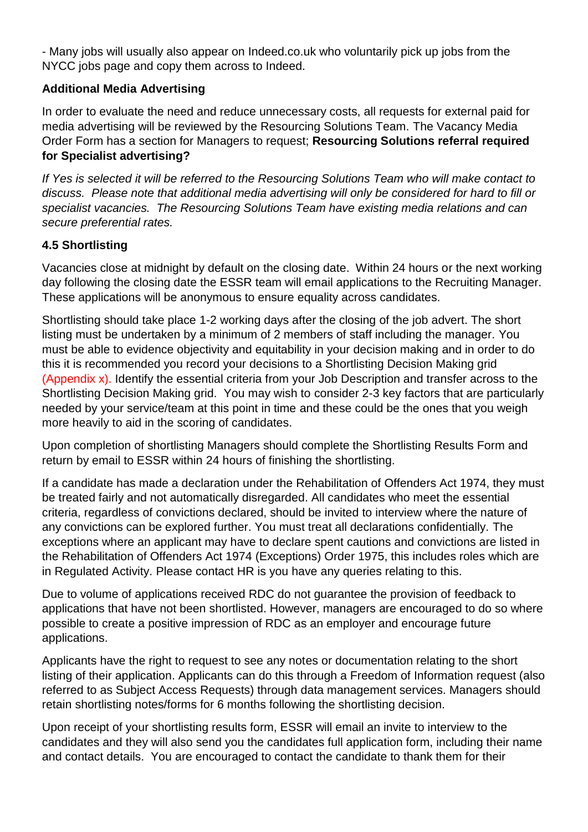- Many jobs will usually also appear on Indeed.co.uk who voluntarily pick up jobs from the NYCC jobs page and copy them across to Indeed.

# **Additional Media Advertising**

In order to evaluate the need and reduce unnecessary costs, all requests for external paid for media advertising will be reviewed by the Resourcing Solutions Team. The Vacancy Media Order Form has a section for Managers to request; **Resourcing Solutions referral required for Specialist advertising?** 

*If Yes is selected it will be referred to the Resourcing Solutions Team who will make contact to discuss. Please note that additional media advertising will only be considered for hard to fill or specialist vacancies. The Resourcing Solutions Team have existing media relations and can secure preferential rates.* 

# **4.5 Shortlisting**

Vacancies close at midnight by default on the closing date. Within 24 hours or the next working day following the closing date the ESSR team will email applications to the Recruiting Manager. These applications will be anonymous to ensure equality across candidates.

Shortlisting should take place 1-2 working days after the closing of the job advert. The short listing must be undertaken by a minimum of 2 members of staff including the manager. You must be able to evidence objectivity and equitability in your decision making and in order to do this it is recommended you record your decisions to a Shortlisting Decision Making grid (Appendix x). Identify the essential criteria from your Job Description and transfer across to the Shortlisting Decision Making grid. You may wish to consider 2-3 key factors that are particularly needed by your service/team at this point in time and these could be the ones that you weigh more heavily to aid in the scoring of candidates.

Upon completion of shortlisting Managers should complete the Shortlisting Results Form and return by email to ESSR within 24 hours of finishing the shortlisting.

If a candidate has made a declaration under the Rehabilitation of Offenders Act 1974, they must be treated fairly and not automatically disregarded. All candidates who meet the essential criteria, regardless of convictions declared, should be invited to interview where the nature of any convictions can be explored further. You must treat all declarations confidentially. The exceptions where an applicant may have to declare spent cautions and convictions are listed in the Rehabilitation of Offenders Act 1974 (Exceptions) Order 1975, this includes roles which are in Regulated Activity. Please contact HR is you have any queries relating to this.

Due to volume of applications received RDC do not guarantee the provision of feedback to applications that have not been shortlisted. However, managers are encouraged to do so where possible to create a positive impression of RDC as an employer and encourage future applications.

Applicants have the right to request to see any notes or documentation relating to the short listing of their application. Applicants can do this through a Freedom of Information request (also referred to as Subject Access Requests) through data management services. Managers should retain shortlisting notes/forms for 6 months following the shortlisting decision.

Upon receipt of your shortlisting results form, ESSR will email an invite to interview to the candidates and they will also send you the candidates full application form, including their name and contact details. You are encouraged to contact the candidate to thank them for their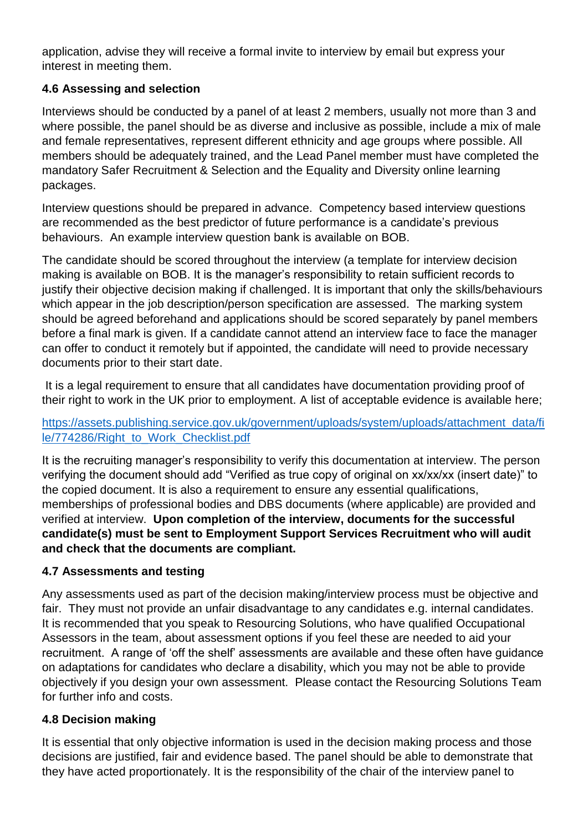application, advise they will receive a formal invite to interview by email but express your interest in meeting them.

# **4.6 Assessing and selection**

Interviews should be conducted by a panel of at least 2 members, usually not more than 3 and where possible, the panel should be as diverse and inclusive as possible, include a mix of male and female representatives, represent different ethnicity and age groups where possible. All members should be adequately trained, and the Lead Panel member must have completed the mandatory Safer Recruitment & Selection and the Equality and Diversity online learning packages.

Interview questions should be prepared in advance. Competency based interview questions are recommended as the best predictor of future performance is a candidate's previous behaviours. An example interview question bank is available on BOB.

The candidate should be scored throughout the interview (a template for interview decision making is available on BOB. It is the manager's responsibility to retain sufficient records to justify their objective decision making if challenged. It is important that only the skills/behaviours which appear in the job description/person specification are assessed. The marking system should be agreed beforehand and applications should be scored separately by panel members before a final mark is given. If a candidate cannot attend an interview face to face the manager can offer to conduct it remotely but if appointed, the candidate will need to provide necessary documents prior to their start date.

It is a legal requirement to ensure that all candidates have documentation providing proof of their right to work in the UK prior to employment. A list of acceptable evidence is available here;

# https://assets.publishing.service.gov.uk/government/uploads/system/uploads/attachment\_data/fi le/774286/Right\_to\_Work\_Checklist.pdf

It is the recruiting manager's responsibility to verify this documentation at interview. The person verifying the document should add "Verified as true copy of original on xx/xx/xx (insert date)" to the copied document. It is also a requirement to ensure any essential qualifications, memberships of professional bodies and DBS documents (where applicable) are provided and verified at interview. **Upon completion of the interview, documents for the successful candidate(s) must be sent to Employment Support Services Recruitment who will audit and check that the documents are compliant.**

# **4.7 Assessments and testing**

Any assessments used as part of the decision making/interview process must be objective and fair. They must not provide an unfair disadvantage to any candidates e.g. internal candidates. It is recommended that you speak to Resourcing Solutions, who have qualified Occupational Assessors in the team, about assessment options if you feel these are needed to aid your recruitment. A range of 'off the shelf' assessments are available and these often have guidance on adaptations for candidates who declare a disability, which you may not be able to provide objectively if you design your own assessment. Please contact the Resourcing Solutions Team for further info and costs.

# **4.8 Decision making**

It is essential that only objective information is used in the decision making process and those decisions are justified, fair and evidence based. The panel should be able to demonstrate that they have acted proportionately. It is the responsibility of the chair of the interview panel to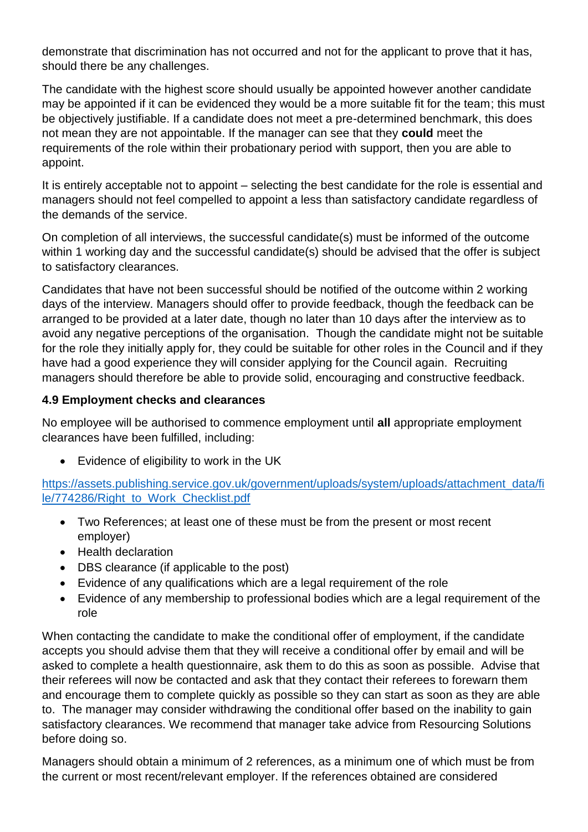demonstrate that discrimination has not occurred and not for the applicant to prove that it has, should there be any challenges.

The candidate with the highest score should usually be appointed however another candidate may be appointed if it can be evidenced they would be a more suitable fit for the team; this must be objectively justifiable. If a candidate does not meet a pre-determined benchmark, this does not mean they are not appointable. If the manager can see that they **could** meet the requirements of the role within their probationary period with support, then you are able to appoint.

It is entirely acceptable not to appoint – selecting the best candidate for the role is essential and managers should not feel compelled to appoint a less than satisfactory candidate regardless of the demands of the service.

On completion of all interviews, the successful candidate(s) must be informed of the outcome within 1 working day and the successful candidate(s) should be advised that the offer is subject to satisfactory clearances.

Candidates that have not been successful should be notified of the outcome within 2 working days of the interview. Managers should offer to provide feedback, though the feedback can be arranged to be provided at a later date, though no later than 10 days after the interview as to avoid any negative perceptions of the organisation. Though the candidate might not be suitable for the role they initially apply for, they could be suitable for other roles in the Council and if they have had a good experience they will consider applying for the Council again. Recruiting managers should therefore be able to provide solid, encouraging and constructive feedback.

# **4.9 Employment checks and clearances**

No employee will be authorised to commence employment until **all** appropriate employment clearances have been fulfilled, including:

Evidence of eligibility to work in the UK

https://assets.publishing.service.gov.uk/government/uploads/system/uploads/attachment\_data/fi le/774286/Right\_to\_Work\_Checklist.pdf

- Two References; at least one of these must be from the present or most recent employer)
- Health declaration
- DBS clearance (if applicable to the post)
- Evidence of any qualifications which are a legal requirement of the role
- Evidence of any membership to professional bodies which are a legal requirement of the role

When contacting the candidate to make the conditional offer of employment, if the candidate accepts you should advise them that they will receive a conditional offer by email and will be asked to complete a health questionnaire, ask them to do this as soon as possible. Advise that their referees will now be contacted and ask that they contact their referees to forewarn them and encourage them to complete quickly as possible so they can start as soon as they are able to. The manager may consider withdrawing the conditional offer based on the inability to gain satisfactory clearances. We recommend that manager take advice from Resourcing Solutions before doing so.

Managers should obtain a minimum of 2 references, as a minimum one of which must be from the current or most recent/relevant employer. If the references obtained are considered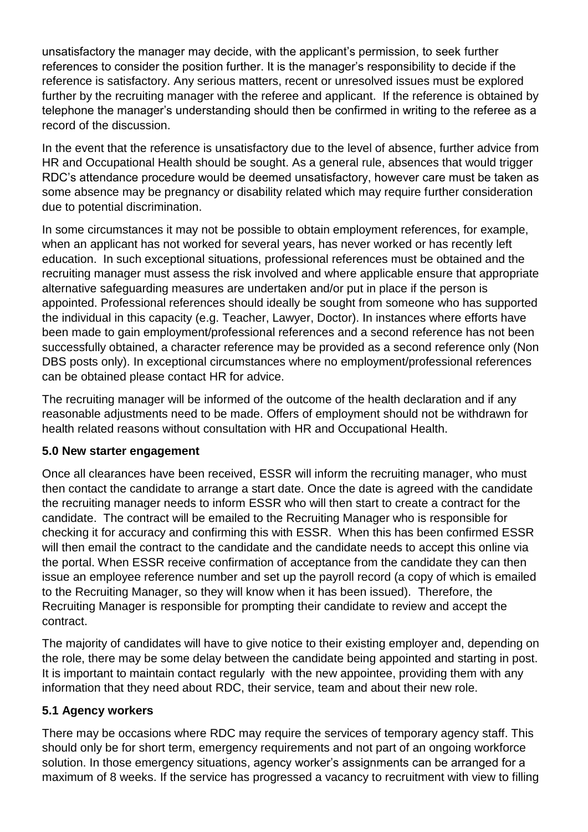unsatisfactory the manager may decide, with the applicant's permission, to seek further references to consider the position further. It is the manager's responsibility to decide if the reference is satisfactory. Any serious matters, recent or unresolved issues must be explored further by the recruiting manager with the referee and applicant. If the reference is obtained by telephone the manager's understanding should then be confirmed in writing to the referee as a record of the discussion.

In the event that the reference is unsatisfactory due to the level of absence, further advice from HR and Occupational Health should be sought. As a general rule, absences that would trigger RDC's attendance procedure would be deemed unsatisfactory, however care must be taken as some absence may be pregnancy or disability related which may require further consideration due to potential discrimination.

In some circumstances it may not be possible to obtain employment references, for example, when an applicant has not worked for several years, has never worked or has recently left education. In such exceptional situations, professional references must be obtained and the recruiting manager must assess the risk involved and where applicable ensure that appropriate alternative safeguarding measures are undertaken and/or put in place if the person is appointed. Professional references should ideally be sought from someone who has supported the individual in this capacity (e.g. Teacher, Lawyer, Doctor). In instances where efforts have been made to gain employment/professional references and a second reference has not been successfully obtained, a character reference may be provided as a second reference only (Non DBS posts only). In exceptional circumstances where no employment/professional references can be obtained please contact HR for advice.

The recruiting manager will be informed of the outcome of the health declaration and if any reasonable adjustments need to be made. Offers of employment should not be withdrawn for health related reasons without consultation with HR and Occupational Health.

## **5.0 New starter engagement**

Once all clearances have been received, ESSR will inform the recruiting manager, who must then contact the candidate to arrange a start date. Once the date is agreed with the candidate the recruiting manager needs to inform ESSR who will then start to create a contract for the candidate. The contract will be emailed to the Recruiting Manager who is responsible for checking it for accuracy and confirming this with ESSR. When this has been confirmed ESSR will then email the contract to the candidate and the candidate needs to accept this online via the portal. When ESSR receive confirmation of acceptance from the candidate they can then issue an employee reference number and set up the payroll record (a copy of which is emailed to the Recruiting Manager, so they will know when it has been issued). Therefore, the Recruiting Manager is responsible for prompting their candidate to review and accept the contract.

The majority of candidates will have to give notice to their existing employer and, depending on the role, there may be some delay between the candidate being appointed and starting in post. It is important to maintain contact regularly with the new appointee, providing them with any information that they need about RDC, their service, team and about their new role.

## **5.1 Agency workers**

There may be occasions where RDC may require the services of temporary agency staff. This should only be for short term, emergency requirements and not part of an ongoing workforce solution. In those emergency situations, agency worker's assignments can be arranged for a maximum of 8 weeks. If the service has progressed a vacancy to recruitment with view to filling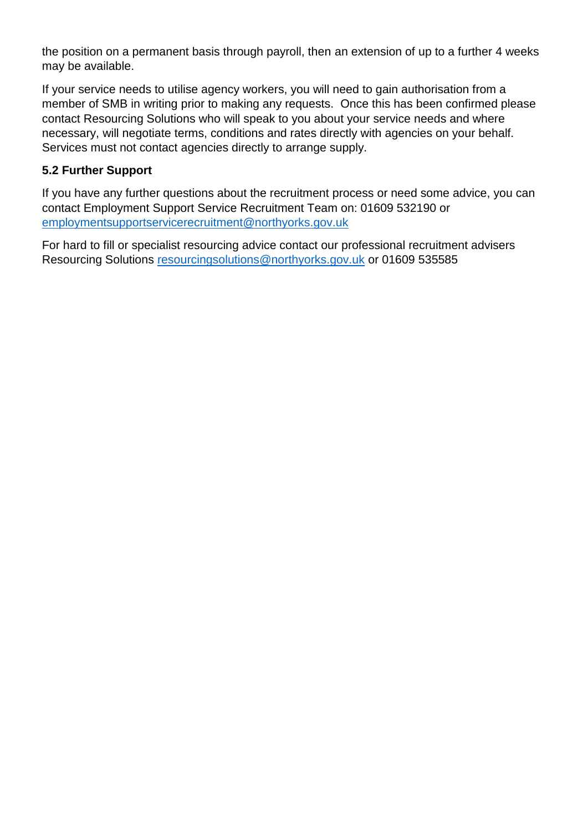the position on a permanent basis through payroll, then an extension of up to a further 4 weeks may be available.

If your service needs to utilise agency workers, you will need to gain authorisation from a member of SMB in writing prior to making any requests. Once this has been confirmed please contact Resourcing Solutions who will speak to you about your service needs and where necessary, will negotiate terms, conditions and rates directly with agencies on your behalf. Services must not contact agencies directly to arrange supply.

## **5.2 Further Support**

If you have any further questions about the recruitment process or need some advice, you can contact Employment Support Service Recruitment Team on: 01609 532190 or employmentsupportservicerecruitment@northyorks.gov.uk

For hard to fill or specialist resourcing advice contact our professional recruitment advisers Resourcing Solutions resourcingsolutions@northyorks.gov.uk or 01609 535585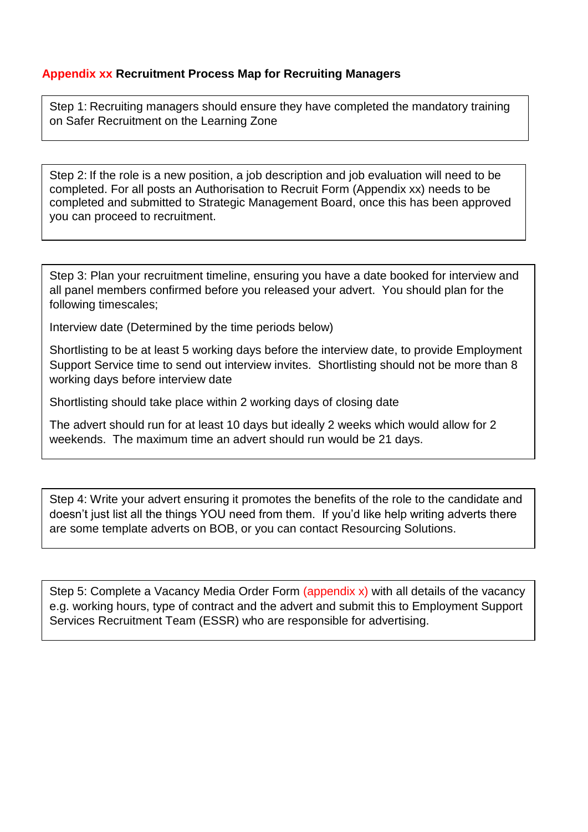#### **Appendix xx Recruitment Process Map for Recruiting Managers**

Step 1: Recruiting managers should ensure they have completed the mandatory training on Safer Recruitment on the Learning Zone

Step 2: If the role is a new position, a job description and job evaluation will need to be completed. For all posts an Authorisation to Recruit Form (Appendix xx) needs to be completed and submitted to Strategic Management Board, once this has been approved you can proceed to recruitment.

Step 3: Plan your recruitment timeline, ensuring you have a date booked for interview and all panel members confirmed before you released your advert. You should plan for the following timescales;

Interview date (Determined by the time periods below)

Shortlisting to be at least 5 working days before the interview date, to provide Employment Support Service time to send out interview invites. Shortlisting should not be more than 8 working days before interview date

Shortlisting should take place within 2 working days of closing date

The advert should run for at least 10 days but ideally 2 weeks which would allow for 2 weekends. The maximum time an advert should run would be 21 days.

Step 4: Write your advert ensuring it promotes the benefits of the role to the candidate and doesn't just list all the things YOU need from them. If you'd like help writing adverts there are some template adverts on BOB, or you can contact Resourcing Solutions.

Step 5: Complete a Vacancy Media Order Form (appendix x) with all details of the vacancy e.g. working hours, type of contract and the advert and submit this to Employment Support Services Recruitment Team (ESSR) who are responsible for advertising.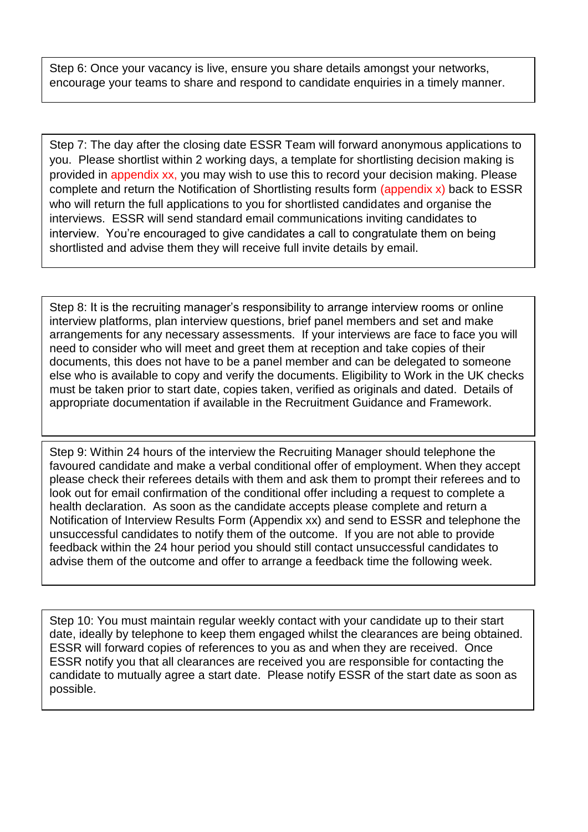Step 6: Once your vacancy is live, ensure you share details amongst your networks, encourage your teams to share and respond to candidate enquiries in a timely manner.

Step 7: The day after the closing date ESSR Team will forward anonymous applications to you. Please shortlist within 2 working days, a template for shortlisting decision making is provided in appendix xx, you may wish to use this to record your decision making. Please complete and return the Notification of Shortlisting results form (appendix x) back to ESSR who will return the full applications to you for shortlisted candidates and organise the interviews. ESSR will send standard email communications inviting candidates to interview. You're encouraged to give candidates a call to congratulate them on being shortlisted and advise them they will receive full invite details by email.

Step 8: It is the recruiting manager's responsibility to arrange interview rooms or online interview platforms, plan interview questions, brief panel members and set and make arrangements for any necessary assessments. If your interviews are face to face you will need to consider who will meet and greet them at reception and take copies of their documents, this does not have to be a panel member and can be delegated to someone else who is available to copy and verify the documents. Eligibility to Work in the UK checks must be taken prior to start date, copies taken, verified as originals and dated. Details of appropriate documentation if available in the Recruitment Guidance and Framework.

Step 9: Within 24 hours of the interview the Recruiting Manager should telephone the favoured candidate and make a verbal conditional offer of employment. When they accept please check their referees details with them and ask them to prompt their referees and to look out for email confirmation of the conditional offer including a request to complete a health declaration. As soon as the candidate accepts please complete and return a Notification of Interview Results Form (Appendix xx) and send to ESSR and telephone the unsuccessful candidates to notify them of the outcome. If you are not able to provide feedback within the 24 hour period you should still contact unsuccessful candidates to advise them of the outcome and offer to arrange a feedback time the following week.

Step 10: You must maintain regular weekly contact with your candidate up to their start date, ideally by telephone to keep them engaged whilst the clearances are being obtained. ESSR will forward copies of references to you as and when they are received. Once ESSR notify you that all clearances are received you are responsible for contacting the candidate to mutually agree a start date. Please notify ESSR of the start date as soon as possible.

Γ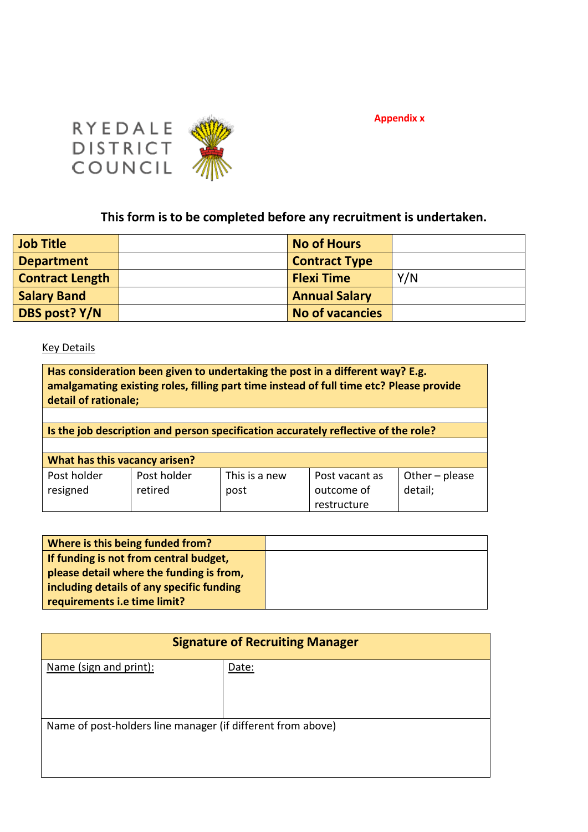

**Appendix x**

# **This form is to be completed before any recruitment is undertaken.**

| <b>Job Title</b>       | <b>No of Hours</b>     |     |
|------------------------|------------------------|-----|
| <b>Department</b>      | <b>Contract Type</b>   |     |
| <b>Contract Length</b> | <b>Flexi Time</b>      | Y/N |
| <b>Salary Band</b>     | <b>Annual Salary</b>   |     |
| DBS post? Y/N          | <b>No of vacancies</b> |     |

#### **Key Details**

| Has consideration been given to undertaking the post in a different way? E.g.<br>amalgamating existing roles, filling part time instead of full time etc? Please provide<br>detail of rationale; |                                                                                    |                       |                              |                             |  |  |
|--------------------------------------------------------------------------------------------------------------------------------------------------------------------------------------------------|------------------------------------------------------------------------------------|-----------------------|------------------------------|-----------------------------|--|--|
|                                                                                                                                                                                                  |                                                                                    |                       |                              |                             |  |  |
|                                                                                                                                                                                                  | Is the job description and person specification accurately reflective of the role? |                       |                              |                             |  |  |
|                                                                                                                                                                                                  |                                                                                    |                       |                              |                             |  |  |
|                                                                                                                                                                                                  | What has this vacancy arisen?                                                      |                       |                              |                             |  |  |
| Post holder<br>resigned                                                                                                                                                                          | Post holder<br>retired                                                             | This is a new<br>post | Post vacant as<br>outcome of | Other $-$ please<br>detail; |  |  |
|                                                                                                                                                                                                  |                                                                                    |                       | restructure                  |                             |  |  |

| Where is this being funded from?          |  |
|-------------------------------------------|--|
| If funding is not from central budget,    |  |
| please detail where the funding is from,  |  |
| including details of any specific funding |  |
| requirements i.e time limit?              |  |

| <b>Signature of Recruiting Manager</b>                      |       |  |  |  |
|-------------------------------------------------------------|-------|--|--|--|
| Name (sign and print):                                      | Date: |  |  |  |
| Name of post-holders line manager (if different from above) |       |  |  |  |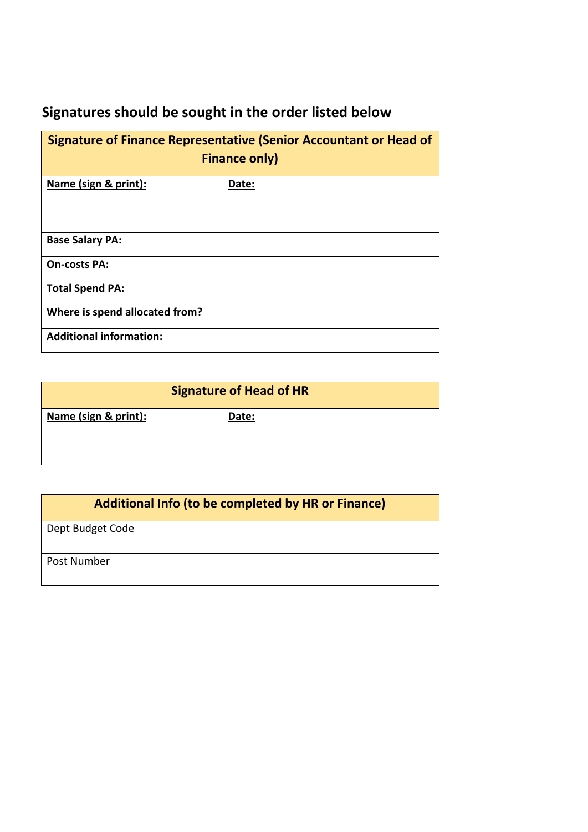# **Signatures should be sought in the order listed below**

| <b>Signature of Finance Representative (Senior Accountant or Head of</b><br><b>Finance only)</b> |       |  |  |  |  |
|--------------------------------------------------------------------------------------------------|-------|--|--|--|--|
| Name (sign & print):                                                                             | Date: |  |  |  |  |
| <b>Base Salary PA:</b>                                                                           |       |  |  |  |  |
| <b>On-costs PA:</b>                                                                              |       |  |  |  |  |
| <b>Total Spend PA:</b>                                                                           |       |  |  |  |  |
| Where is spend allocated from?                                                                   |       |  |  |  |  |
| <b>Additional information:</b>                                                                   |       |  |  |  |  |

| <b>Signature of Head of HR</b> |       |  |  |  |
|--------------------------------|-------|--|--|--|
| Name (sign & print):           | Date: |  |  |  |
|                                |       |  |  |  |

| <b>Additional Info (to be completed by HR or Finance)</b> |  |  |  |
|-----------------------------------------------------------|--|--|--|
| Dept Budget Code                                          |  |  |  |
| Post Number                                               |  |  |  |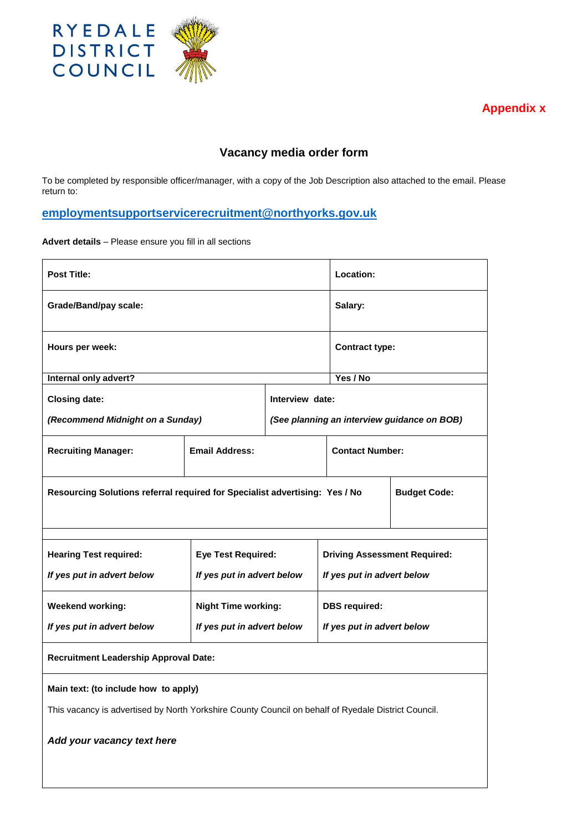

**Appendix x**

## **Vacancy media order form**

To be completed by responsible officer/manager, with a copy of the Job Description also attached to the email. Please return to:

# **employmentsupportservicerecruitment@northyorks.gov.uk**

**Advert details** – Please ensure you fill in all sections

| <b>Post Title:</b>                                                                                  |                            |                 | Location:                  |                                             |  |
|-----------------------------------------------------------------------------------------------------|----------------------------|-----------------|----------------------------|---------------------------------------------|--|
| <b>Grade/Band/pay scale:</b>                                                                        | Salary:                    |                 |                            |                                             |  |
| Hours per week:                                                                                     |                            |                 |                            | <b>Contract type:</b>                       |  |
| Internal only advert?                                                                               |                            |                 | Yes / No                   |                                             |  |
| <b>Closing date:</b>                                                                                |                            | Interview date: |                            |                                             |  |
| (Recommend Midnight on a Sunday)                                                                    |                            |                 |                            | (See planning an interview guidance on BOB) |  |
| <b>Recruiting Manager:</b>                                                                          | <b>Email Address:</b>      |                 | <b>Contact Number:</b>     |                                             |  |
| Resourcing Solutions referral required for Specialist advertising: Yes / No                         |                            |                 |                            | <b>Budget Code:</b>                         |  |
|                                                                                                     |                            |                 |                            |                                             |  |
| <b>Hearing Test required:</b>                                                                       | <b>Eye Test Required:</b>  |                 |                            | <b>Driving Assessment Required:</b>         |  |
| If yes put in advert below                                                                          | If yes put in advert below |                 |                            | If yes put in advert below                  |  |
| <b>Weekend working:</b>                                                                             | <b>Night Time working:</b> |                 | <b>DBS</b> required:       |                                             |  |
| If yes put in advert below                                                                          | If yes put in advert below |                 | If yes put in advert below |                                             |  |
| <b>Recruitment Leadership Approval Date:</b>                                                        |                            |                 |                            |                                             |  |
| Main text: (to include how to apply)                                                                |                            |                 |                            |                                             |  |
| This vacancy is advertised by North Yorkshire County Council on behalf of Ryedale District Council. |                            |                 |                            |                                             |  |
| Add your vacancy text here                                                                          |                            |                 |                            |                                             |  |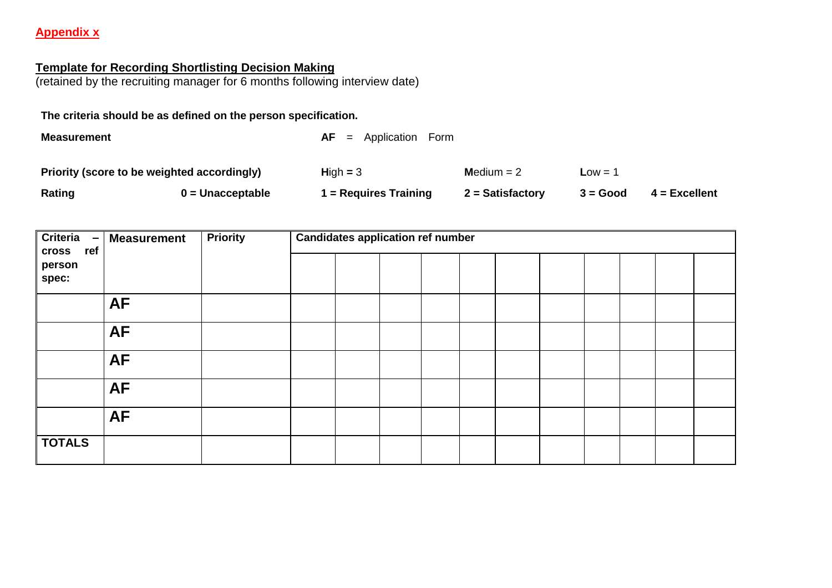#### **Appendix x**

#### **Template for Recording Shortlisting Decision Making**

(retained by the recruiting manager for 6 months following interview date)

**The criteria should be as defined on the person specification.**

**Measurement** Measurement AF = Application Form **Priority (score to be weighted accordingly) H**igh **=** 3 **M**edium = 2 **L**ow = 1 **Rating 0 = Unacceptable 1 = Requires Training 2 = Satisfactory 3 = Good 4 = Excellent**

| Criteria<br>$\overline{\phantom{m}}$<br>ref<br><b>cross</b> | <b>Measurement</b> | <b>Priority</b> | <b>Candidates application ref number</b> |  |  |  |  |  |  |  |
|-------------------------------------------------------------|--------------------|-----------------|------------------------------------------|--|--|--|--|--|--|--|
| person                                                      |                    |                 |                                          |  |  |  |  |  |  |  |
| spec:                                                       |                    |                 |                                          |  |  |  |  |  |  |  |
|                                                             | <b>AF</b>          |                 |                                          |  |  |  |  |  |  |  |
|                                                             | <b>AF</b>          |                 |                                          |  |  |  |  |  |  |  |
|                                                             | <b>AF</b>          |                 |                                          |  |  |  |  |  |  |  |
|                                                             | <b>AF</b>          |                 |                                          |  |  |  |  |  |  |  |
|                                                             | <b>AF</b>          |                 |                                          |  |  |  |  |  |  |  |
| <b>TOTALS</b>                                               |                    |                 |                                          |  |  |  |  |  |  |  |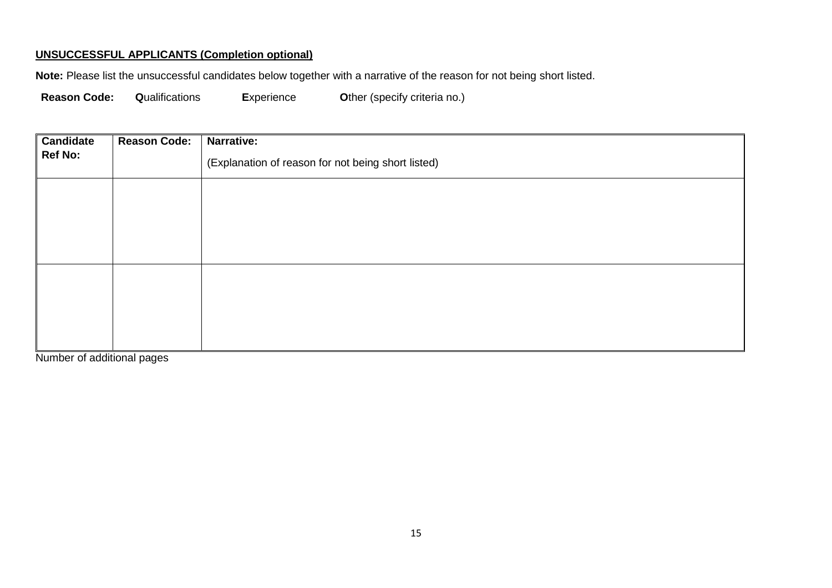#### **UNSUCCESSFUL APPLICANTS (Completion optional)**

**Note:** Please list the unsuccessful candidates below together with a narrative of the reason for not being short listed.

**Reason Code: Q**ualifications **E**xperience **O**ther (specify criteria no.)

| Candidate      | <b>Reason Code:</b> | Narrative:                                         |
|----------------|---------------------|----------------------------------------------------|
| <b>Ref No:</b> |                     | (Explanation of reason for not being short listed) |
|                |                     |                                                    |
|                |                     |                                                    |
|                |                     |                                                    |
|                |                     |                                                    |
|                |                     |                                                    |
|                |                     |                                                    |
|                |                     |                                                    |

Number of additional pages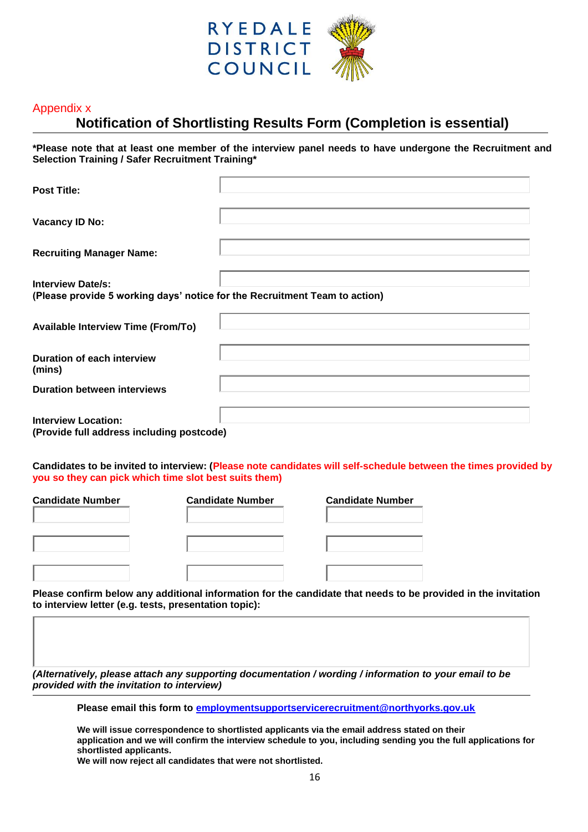

#### Appendix x

# **Notification of Shortlisting Results Form (Completion is essential)**

**\*Please note that at least one member of the interview panel needs to have undergone the Recruitment and Selection Training / Safer Recruitment Training\***

| <b>Post Title:</b>                                                                                     |  |
|--------------------------------------------------------------------------------------------------------|--|
| Vacancy ID No:                                                                                         |  |
| <b>Recruiting Manager Name:</b>                                                                        |  |
| <b>Interview Date/s:</b><br>(Please provide 5 working days' notice for the Recruitment Team to action) |  |
| <b>Available Interview Time (From/To)</b>                                                              |  |
| <b>Duration of each interview</b><br>(mins)                                                            |  |
| <b>Duration between interviews</b>                                                                     |  |
| <b>Interview Location:</b><br>(Provide full address including postcode)                                |  |

**Candidates to be invited to interview: (Please note candidates will self-schedule between the times provided by you so they can pick which time slot best suits them)** 

| <b>Candidate Number</b> | <b>Candidate Number</b> | <b>Candidate Number</b> |
|-------------------------|-------------------------|-------------------------|
|                         |                         |                         |
|                         |                         |                         |
|                         |                         |                         |
|                         |                         |                         |
|                         |                         |                         |

**Please confirm below any additional information for the candidate that needs to be provided in the invitation to interview letter (e.g. tests, presentation topic):** 

*(Alternatively, please attach any supporting documentation / wording / information to your email to be provided with the invitation to interview)*

**Please email this form to employmentsupportservicerecruitment@northyorks.gov.uk**

**We will issue correspondence to shortlisted applicants via the email address stated on their application and we will confirm the interview schedule to you, including sending you the full applications for shortlisted applicants.**

**We will now reject all candidates that were not shortlisted.**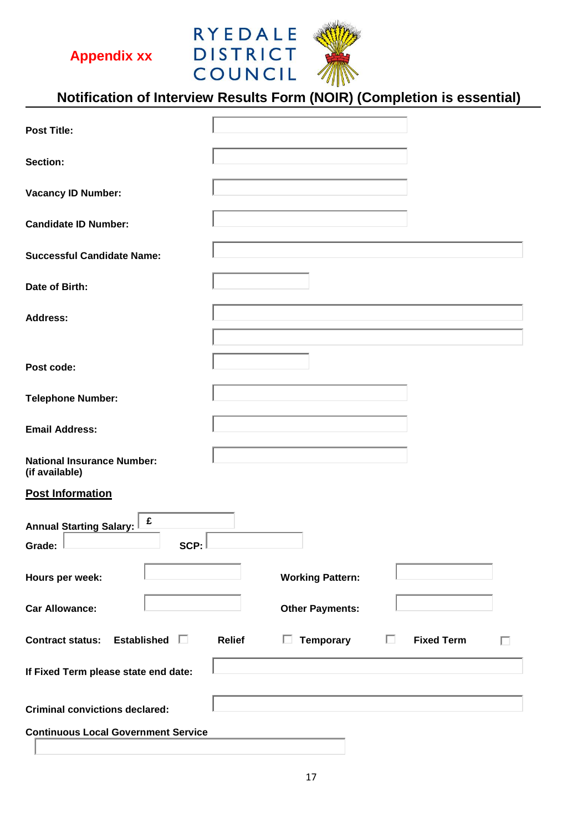**Appendix xx**



# **Notification of Interview Results Form (NOIR) (Completion is essential)**

| <b>Post Title:</b>                                    |                                                                             |
|-------------------------------------------------------|-----------------------------------------------------------------------------|
| Section:                                              |                                                                             |
| <b>Vacancy ID Number:</b>                             |                                                                             |
| <b>Candidate ID Number:</b>                           |                                                                             |
| <b>Successful Candidate Name:</b>                     |                                                                             |
| Date of Birth:                                        |                                                                             |
| <b>Address:</b>                                       |                                                                             |
|                                                       |                                                                             |
| Post code:                                            |                                                                             |
| <b>Telephone Number:</b>                              |                                                                             |
| <b>Email Address:</b>                                 |                                                                             |
| <b>National Insurance Number:</b><br>(if available)   |                                                                             |
| <b>Post Information</b>                               |                                                                             |
| £<br><b>Annual Starting Salary:</b><br>SCP:<br>Grade: |                                                                             |
| Hours per week:                                       | <b>Working Pattern:</b>                                                     |
| <b>Car Allowance:</b>                                 | <b>Other Payments:</b>                                                      |
| Contract status: Established $\square$                | <b>Temporary</b><br>П.<br><b>Fixed Term</b><br><b>Relief</b><br>$\Box$<br>п |
| If Fixed Term please state end date:                  |                                                                             |
| <b>Criminal convictions declared:</b>                 |                                                                             |
| <b>Continuous Local Government Service</b>            |                                                                             |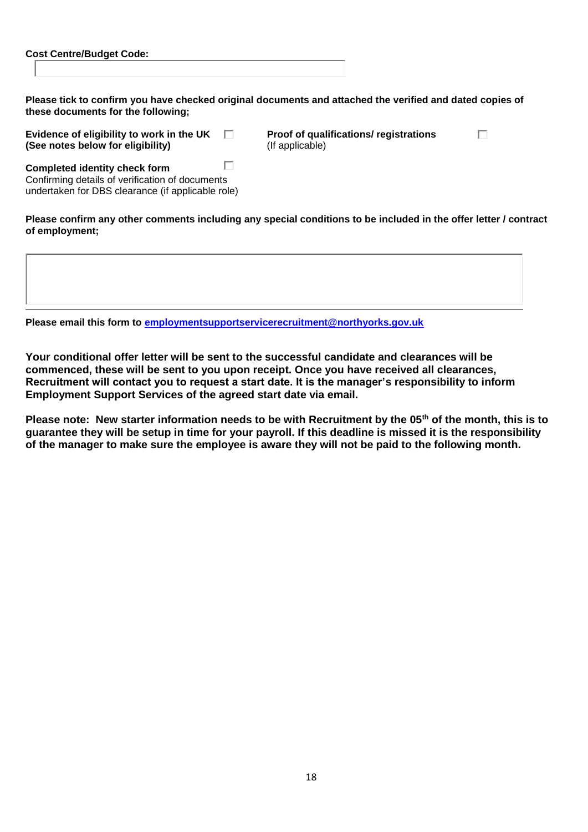| <b>Cost Centre/Budget Code:</b> |  |
|---------------------------------|--|
|                                 |  |

| Please tick to confirm you have checked original documents and attached the verified and dated copies of |
|----------------------------------------------------------------------------------------------------------|
| these documents for the following;                                                                       |

| Evidence of eligibility to work in the UK |  |
|-------------------------------------------|--|
| (See notes below for eligibility)         |  |

**Example 1 Broof of qualifications/ registrations** (If applicable)

П

| <b>Completed identity check form</b>              |  |
|---------------------------------------------------|--|
| Confirming details of verification of documents   |  |
| undertaken for DBS clearance (if applicable role) |  |

**Please confirm any other comments including any special conditions to be included in the offer letter / contract of employment;**

**Please email this form to employmentsupportservicerecruitment@northyorks.gov.uk**

**Your conditional offer letter will be sent to the successful candidate and clearances will be commenced, these will be sent to you upon receipt. Once you have received all clearances, Recruitment will contact you to request a start date. It is the manager's responsibility to inform Employment Support Services of the agreed start date via email.** 

**Please note: New starter information needs to be with Recruitment by the 05th of the month, this is to guarantee they will be setup in time for your payroll. If this deadline is missed it is the responsibility of the manager to make sure the employee is aware they will not be paid to the following month.**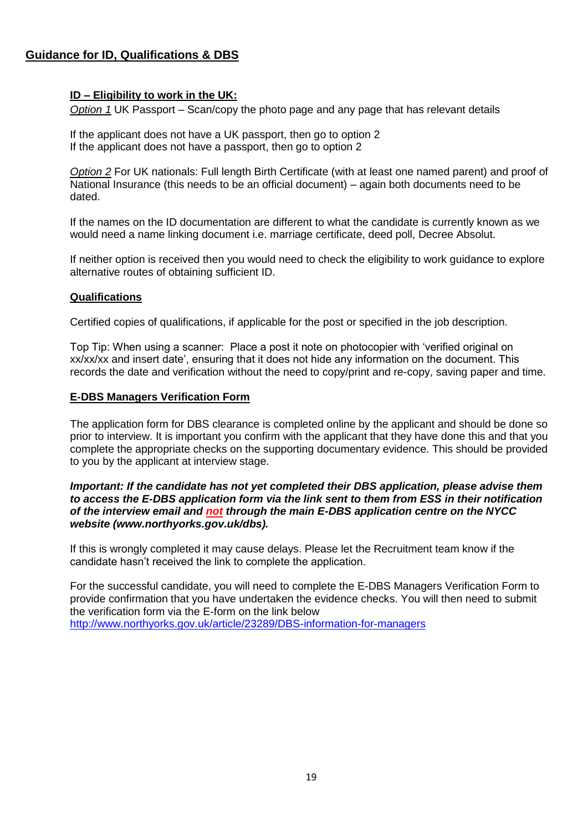#### **Guidance for ID, Qualifications & DBS**

#### **ID – Eligibility to work in the UK:**

*Option 1* UK Passport – Scan/copy the photo page and any page that has relevant details

If the applicant does not have a UK passport, then go to option 2 If the applicant does not have a passport, then go to option 2

*Option 2* For UK nationals: Full length Birth Certificate (with at least one named parent) and proof of National Insurance (this needs to be an official document) – again both documents need to be dated.

If the names on the ID documentation are different to what the candidate is currently known as we would need a name linking document i.e. marriage certificate, deed poll, Decree Absolut.

If neither option is received then you would need to check the eligibility to work guidance to explore alternative routes of obtaining sufficient ID.

#### **Qualifications**

Certified copies of qualifications, if applicable for the post or specified in the job description.

Top Tip: When using a scanner: Place a post it note on photocopier with 'verified original on xx/xx/xx and insert date', ensuring that it does not hide any information on the document. This records the date and verification without the need to copy/print and re-copy, saving paper and time.

#### **E-DBS Managers Verification Form**

The application form for DBS clearance is completed online by the applicant and should be done so prior to interview. It is important you confirm with the applicant that they have done this and that you complete the appropriate checks on the supporting documentary evidence. This should be provided to you by the applicant at interview stage.

#### *Important: If the candidate has not yet completed their DBS application, please advise them to access the E-DBS application form via the link sent to them from ESS in their notification of the interview email and not through the main E-DBS application centre on the NYCC website (www.northyorks.gov.uk/dbs).*

If this is wrongly completed it may cause delays. Please let the Recruitment team know if the candidate hasn't received the link to complete the application.

For the successful candidate, you will need to complete the E-DBS Managers Verification Form to provide confirmation that you have undertaken the evidence checks. You will then need to submit the verification form via the E-form on the link below http://www.northyorks.gov.uk/article/23289/DBS-information-for-managers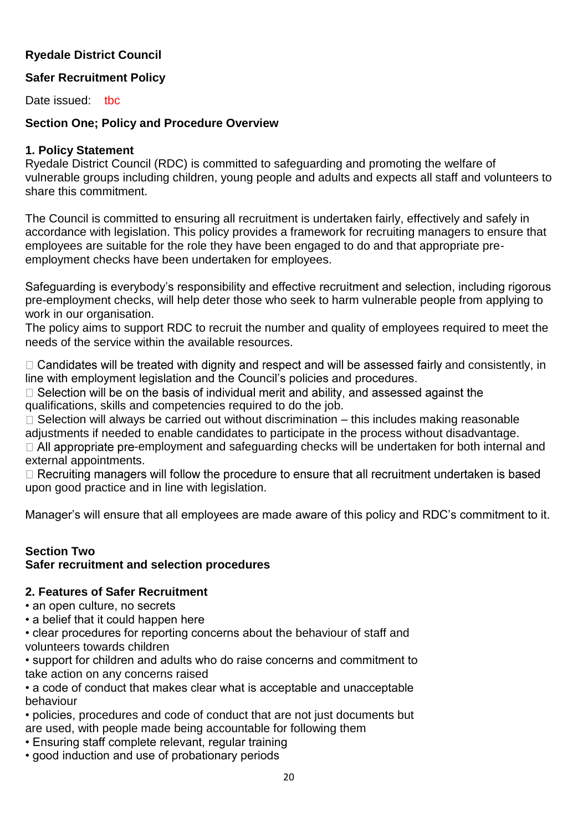# **Ryedale District Council**

# **Safer Recruitment Policy**

Date issued: tbc

#### **Section One; Policy and Procedure Overview**

#### **1. Policy Statement**

Ryedale District Council (RDC) is committed to safeguarding and promoting the welfare of vulnerable groups including children, young people and adults and expects all staff and volunteers to share this commitment.

The Council is committed to ensuring all recruitment is undertaken fairly, effectively and safely in accordance with legislation. This policy provides a framework for recruiting managers to ensure that employees are suitable for the role they have been engaged to do and that appropriate preemployment checks have been undertaken for employees.

Safeguarding is everybody's responsibility and effective recruitment and selection, including rigorous pre-employment checks, will help deter those who seek to harm vulnerable people from applying to work in our organisation.

The policy aims to support RDC to recruit the number and quality of employees required to meet the needs of the service within the available resources.

 $\Box$  Candidates will be treated with dignity and respect and will be assessed fairly and consistently, in line with employment legislation and the Council's policies and procedures.

 $\Box$  Selection will be on the basis of individual merit and ability, and assessed against the qualifications, skills and competencies required to do the job.

 $\Box$  Selection will always be carried out without discrimination – this includes making reasonable adjustments if needed to enable candidates to participate in the process without disadvantage.  $\Box$  All appropriate pre-employment and safeguarding checks will be undertaken for both internal and external appointments.

□ Recruiting managers will follow the procedure to ensure that all recruitment undertaken is based upon good practice and in line with legislation.

Manager's will ensure that all employees are made aware of this policy and RDC's commitment to it.

#### **Section Two Safer recruitment and selection procedures**

## **2. Features of Safer Recruitment**

• an open culture, no secrets

• a belief that it could happen here

• clear procedures for reporting concerns about the behaviour of staff and volunteers towards children

• support for children and adults who do raise concerns and commitment to take action on any concerns raised

• a code of conduct that makes clear what is acceptable and unacceptable behaviour

• policies, procedures and code of conduct that are not just documents but are used, with people made being accountable for following them

- Ensuring staff complete relevant, regular training
- good induction and use of probationary periods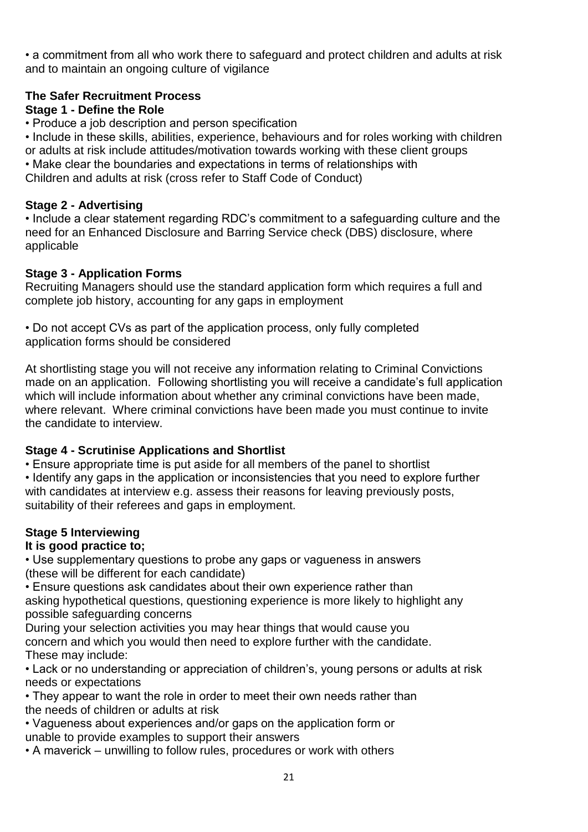• a commitment from all who work there to safeguard and protect children and adults at risk and to maintain an ongoing culture of vigilance

# **The Safer Recruitment Process**

# **Stage 1 - Define the Role**

• Produce a job description and person specification

• Include in these skills, abilities, experience, behaviours and for roles working with children or adults at risk include attitudes/motivation towards working with these client groups

• Make clear the boundaries and expectations in terms of relationships with

Children and adults at risk (cross refer to Staff Code of Conduct)

## **Stage 2 - Advertising**

• Include a clear statement regarding RDC's commitment to a safeguarding culture and the need for an Enhanced Disclosure and Barring Service check (DBS) disclosure, where applicable

# **Stage 3 - Application Forms**

Recruiting Managers should use the standard application form which requires a full and complete job history, accounting for any gaps in employment

• Do not accept CVs as part of the application process, only fully completed application forms should be considered

At shortlisting stage you will not receive any information relating to Criminal Convictions made on an application. Following shortlisting you will receive a candidate's full application which will include information about whether any criminal convictions have been made, where relevant. Where criminal convictions have been made you must continue to invite the candidate to interview.

# **Stage 4 - Scrutinise Applications and Shortlist**

• Ensure appropriate time is put aside for all members of the panel to shortlist

• Identify any gaps in the application or inconsistencies that you need to explore further with candidates at interview e.g. assess their reasons for leaving previously posts, suitability of their referees and gaps in employment.

# **Stage 5 Interviewing**

# **It is good practice to;**

• Use supplementary questions to probe any gaps or vagueness in answers (these will be different for each candidate)

• Ensure questions ask candidates about their own experience rather than asking hypothetical questions, questioning experience is more likely to highlight any possible safeguarding concerns

During your selection activities you may hear things that would cause you concern and which you would then need to explore further with the candidate. These may include:

• Lack or no understanding or appreciation of children's, young persons or adults at risk needs or expectations

• They appear to want the role in order to meet their own needs rather than the needs of children or adults at risk

• Vagueness about experiences and/or gaps on the application form or unable to provide examples to support their answers

• A maverick – unwilling to follow rules, procedures or work with others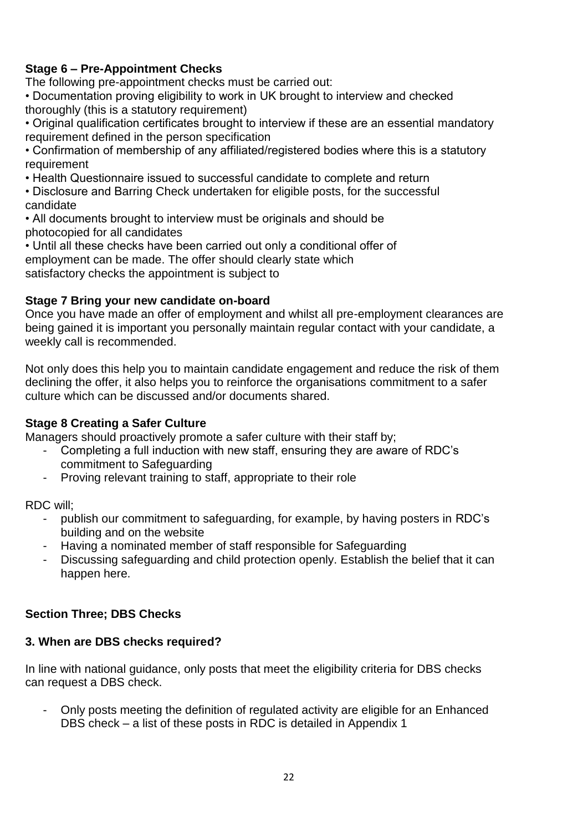# **Stage 6 – Pre-Appointment Checks**

The following pre-appointment checks must be carried out:

• Documentation proving eligibility to work in UK brought to interview and checked thoroughly (this is a statutory requirement)

• Original qualification certificates brought to interview if these are an essential mandatory requirement defined in the person specification

• Confirmation of membership of any affiliated/registered bodies where this is a statutory requirement

• Health Questionnaire issued to successful candidate to complete and return

• Disclosure and Barring Check undertaken for eligible posts, for the successful candidate

• All documents brought to interview must be originals and should be photocopied for all candidates

• Until all these checks have been carried out only a conditional offer of employment can be made. The offer should clearly state which satisfactory checks the appointment is subject to

#### **Stage 7 Bring your new candidate on-board**

Once you have made an offer of employment and whilst all pre-employment clearances are being gained it is important you personally maintain regular contact with your candidate, a weekly call is recommended.

Not only does this help you to maintain candidate engagement and reduce the risk of them declining the offer, it also helps you to reinforce the organisations commitment to a safer culture which can be discussed and/or documents shared.

#### **Stage 8 Creating a Safer Culture**

Managers should proactively promote a safer culture with their staff by;

- Completing a full induction with new staff, ensuring they are aware of RDC's commitment to Safeguarding
- Proving relevant training to staff, appropriate to their role

RDC will;

- publish our commitment to safeguarding, for example, by having posters in RDC's building and on the website
- Having a nominated member of staff responsible for Safeguarding
- Discussing safeguarding and child protection openly. Establish the belief that it can happen here.

## **Section Three; DBS Checks**

#### **3. When are DBS checks required?**

In line with national guidance, only posts that meet the eligibility criteria for DBS checks can request a DBS check.

- Only posts meeting the definition of regulated activity are eligible for an Enhanced DBS check – a list of these posts in RDC is detailed in Appendix 1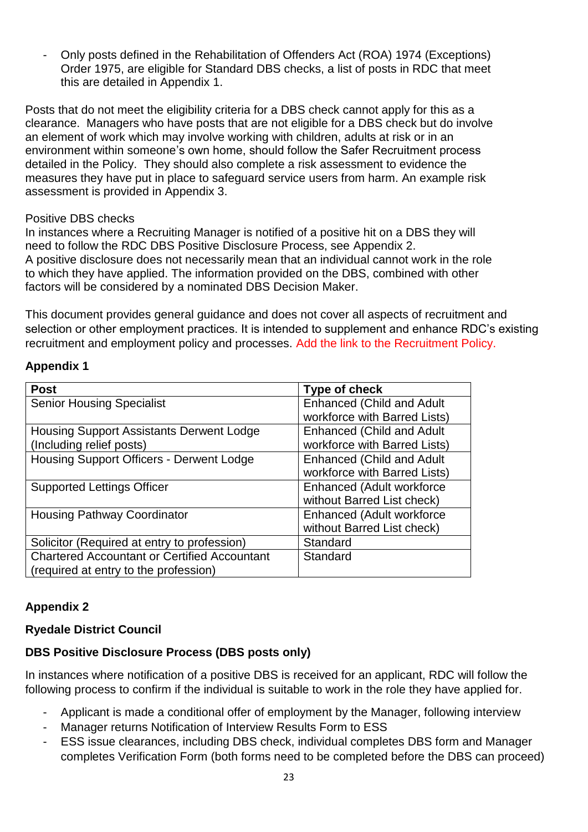- Only posts defined in the Rehabilitation of Offenders Act (ROA) 1974 (Exceptions) Order 1975, are eligible for Standard DBS checks, a list of posts in RDC that meet this are detailed in Appendix 1.

Posts that do not meet the eligibility criteria for a DBS check cannot apply for this as a clearance. Managers who have posts that are not eligible for a DBS check but do involve an element of work which may involve working with children, adults at risk or in an environment within someone's own home, should follow the Safer Recruitment process detailed in the Policy. They should also complete a risk assessment to evidence the measures they have put in place to safeguard service users from harm. An example risk assessment is provided in Appendix 3.

#### Positive DBS checks

In instances where a Recruiting Manager is notified of a positive hit on a DBS they will need to follow the RDC DBS Positive Disclosure Process, see Appendix 2. A positive disclosure does not necessarily mean that an individual cannot work in the role to which they have applied. The information provided on the DBS, combined with other factors will be considered by a nominated DBS Decision Maker.

This document provides general guidance and does not cover all aspects of recruitment and selection or other employment practices. It is intended to supplement and enhance RDC's existing recruitment and employment policy and processes. Add the link to the Recruitment Policy.

## **Appendix 1**

| <b>Post</b>                                         | Type of check                    |
|-----------------------------------------------------|----------------------------------|
| <b>Senior Housing Specialist</b>                    | <b>Enhanced (Child and Adult</b> |
|                                                     | workforce with Barred Lists)     |
| <b>Housing Support Assistants Derwent Lodge</b>     | <b>Enhanced (Child and Adult</b> |
| (Including relief posts)                            | workforce with Barred Lists)     |
| <b>Housing Support Officers - Derwent Lodge</b>     | <b>Enhanced (Child and Adult</b> |
|                                                     | workforce with Barred Lists)     |
| <b>Supported Lettings Officer</b>                   | Enhanced (Adult workforce        |
|                                                     | without Barred List check)       |
| <b>Housing Pathway Coordinator</b>                  | Enhanced (Adult workforce        |
|                                                     | without Barred List check)       |
| Solicitor (Required at entry to profession)         | Standard                         |
| <b>Chartered Accountant or Certified Accountant</b> | Standard                         |
| (required at entry to the profession)               |                                  |

## **Appendix 2**

## **Ryedale District Council**

## **DBS Positive Disclosure Process (DBS posts only)**

In instances where notification of a positive DBS is received for an applicant, RDC will follow the following process to confirm if the individual is suitable to work in the role they have applied for.

- Applicant is made a conditional offer of employment by the Manager, following interview
- Manager returns Notification of Interview Results Form to ESS
- ESS issue clearances, including DBS check, individual completes DBS form and Manager completes Verification Form (both forms need to be completed before the DBS can proceed)